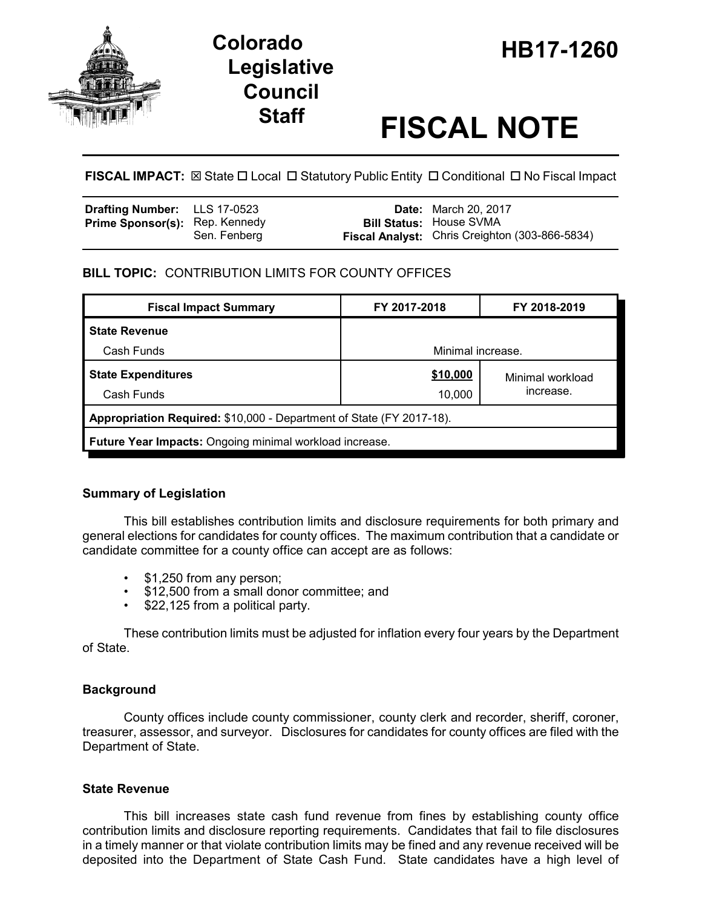

# **HB17-1260 Colorado Legislative Council**

# **Staff FISCAL NOTE**

**FISCAL IMPACT:** ⊠ State  $\Box$  Local  $\Box$  Statutory Public Entity  $\Box$  Conditional  $\Box$  No Fiscal Impact

| <b>Drafting Number:</b> LLS 17-0523   |              | <b>Date:</b> March 20, 2017                                                      |
|---------------------------------------|--------------|----------------------------------------------------------------------------------|
| <b>Prime Sponsor(s): Rep. Kennedy</b> | Sen. Fenberg | <b>Bill Status: House SVMA</b><br>Fiscal Analyst: Chris Creighton (303-866-5834) |

# **BILL TOPIC:** CONTRIBUTION LIMITS FOR COUNTY OFFICES

| <b>Fiscal Impact Summary</b>                                         | FY 2017-2018      | FY 2018-2019     |  |  |  |
|----------------------------------------------------------------------|-------------------|------------------|--|--|--|
| <b>State Revenue</b>                                                 |                   |                  |  |  |  |
| Cash Funds                                                           | Minimal increase. |                  |  |  |  |
| <b>State Expenditures</b>                                            | \$10,000          | Minimal workload |  |  |  |
| Cash Funds                                                           | 10,000            | increase.        |  |  |  |
| Appropriation Required: \$10,000 - Department of State (FY 2017-18). |                   |                  |  |  |  |
| <b>Future Year Impacts:</b> Ongoing minimal workload increase.       |                   |                  |  |  |  |

# **Summary of Legislation**

This bill establishes contribution limits and disclosure requirements for both primary and general elections for candidates for county offices. The maximum contribution that a candidate or candidate committee for a county office can accept are as follows:

- \$1,250 from any person;
- \$12,500 from a small donor committee; and
- \$22,125 from a political party.

These contribution limits must be adjusted for inflation every four years by the Department of State.

# **Background**

County offices include county commissioner, county clerk and recorder, sheriff, coroner, treasurer, assessor, and surveyor. Disclosures for candidates for county offices are filed with the Department of State.

# **State Revenue**

This bill increases state cash fund revenue from fines by establishing county office contribution limits and disclosure reporting requirements. Candidates that fail to file disclosures in a timely manner or that violate contribution limits may be fined and any revenue received will be deposited into the Department of State Cash Fund. State candidates have a high level of